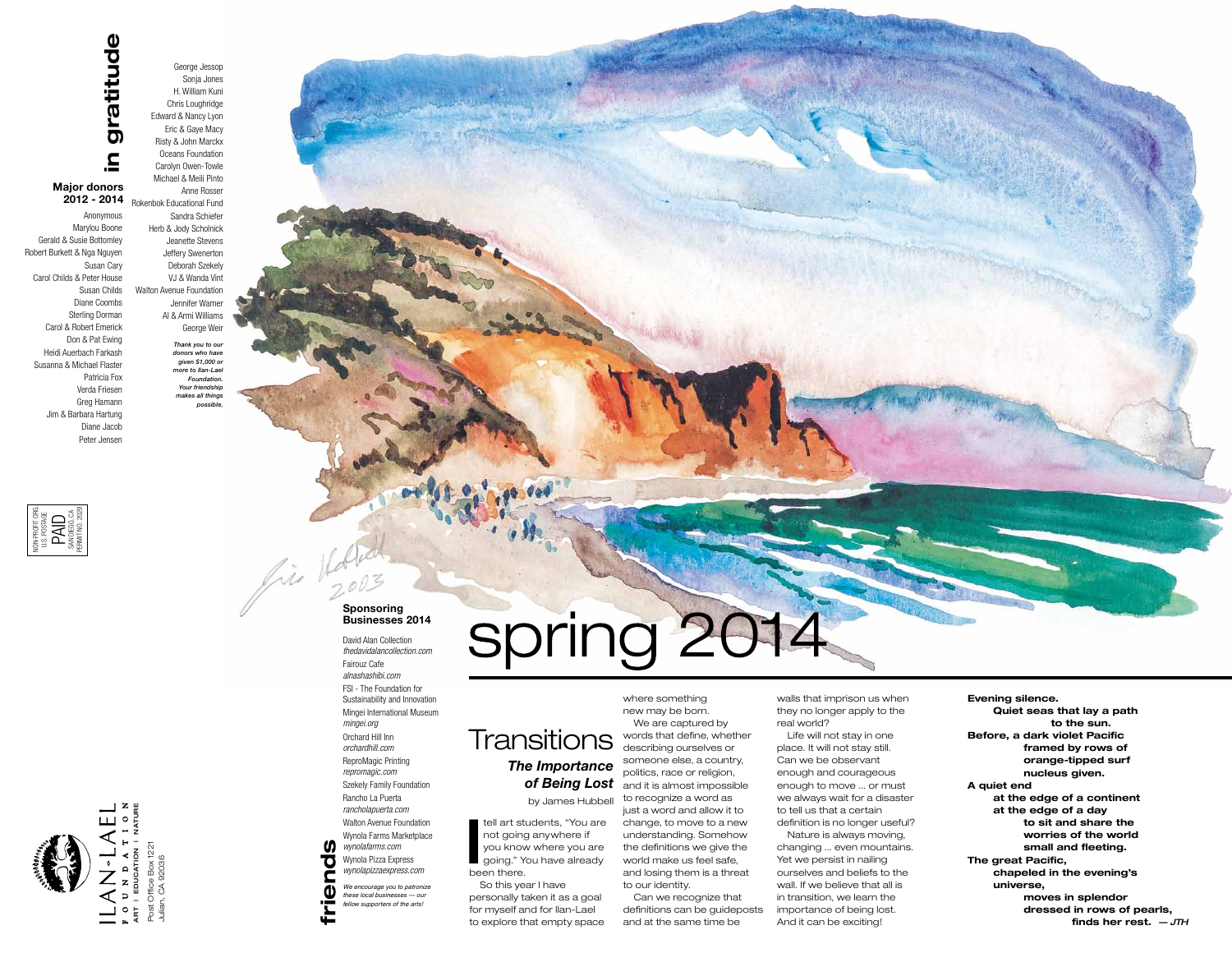**I** been there. tell art students, "You are not going anywhere if you know where you are going." You have already

So this year I have personally taken it as a goal for myself and for Ilan-Lael to explore that empty space

where something new may be born. We are captured by words that define, whether describing ourselves or someone else, a country, politics, race or religion, and it is almost impossible to recognize a word as just a word and allow it to change, to move to a new understanding. Somehow the definitions we give the world make us feel safe, and losing them is a threat

to our identity. Can we recognize that definitions can be guideposts and at the same time be

walls that imprison us when they no longer apply to the real world?

Life will not stay in one place. It will not stay still. Can we be observant enough and courageous enough to move ... or must we always wait for a disaster to tell us that a certain definition is no longer useful? Nature is always moving,

changing ... even mountains. Yet we persist in nailing ourselves and beliefs to the wall. If we believe that all is in transition, we learn the importance of being lost. And it can be exciting!

**Evening silence. Quiet seas that lay a path to the sun. Before, a dark violet Pacific framed by rows of orange-tipped surf nucleus given. A quiet end at the edge of a continent at the edge of a day to sit and share the worries of the world small and fleeting. The great Pacific, chapeled in the evening's universe, moves in splendor dressed in rows of pearls, finds her rest.** *— jth*

## *The Importance of Being Lost*  by James Hubbell **Transitions**

Anonymous Marylou Boone Gerald & Susie Bottomley Robert Burkett & Nga Nguyen Susan Cary Carol Childs & Peter House Susan Childs Diane Coombs Sterling Dorman Carol & Robert Emerick Don & Pat Ewing Heidi Auerbach Farkash Susanna & Michael Flaster Patricia Fox Verda Friesen Greg Hamann Jim & Barbara Hartung Diane Jacob Peter Jensen

George Jessop Sonja Jones H. William Kuni Chris Loughridge Edward & Nancy Lyon Eric & Gaye Macy Risty & John Marckx Oceans Foundation Carolyn Owen-Towle Michael & Meili Pinto Anne Rosser Rokenbok Educational Fund **2012 - 2014** Sandra Schiefer Herb & Jody Scholnick Jeanette Stevens Jeffery Swenerton Deborah Szekely VJ & Wanda Vint Walton Avenue Foundation Jennifer Warner Al & Armi Williams George Weir

> *Thank you to our donors who have given \$1,000 or more to Ilan-Lael Foundation. Your friendship makes all things possible.*

# gratitude **in gratitude**  $\mathbf{a}$

# **Major donors**

**friends**

 $\blacksquare$  $\bf \Phi$ ÷ ⋤

**SD** 

70

fin 16/100

# spring 201

David Alan Collection *thedavidalancollection.com* Fairouz Cafe *alnashashibi.com*  FSI - The Foundation for Sustainability and Innovation Mingei International Museum *mingei.org* Orchard Hill Inn *orchardhill.com* ReproMagic Printing *repromagic.com* Szekely Family Foundation Rancho La Puerta *rancholapuerta.com* Walton Avenue Foundation Wynola Farms Marketplace *wynolafarms.com* Wynola Pizza Express *wynolapizzaexpress.com*

#### **Sponsoring Businesses 2014**

*We encourage you to patronize these local businesses — our fellow supporters of the arts!*





Julian, CA 92036